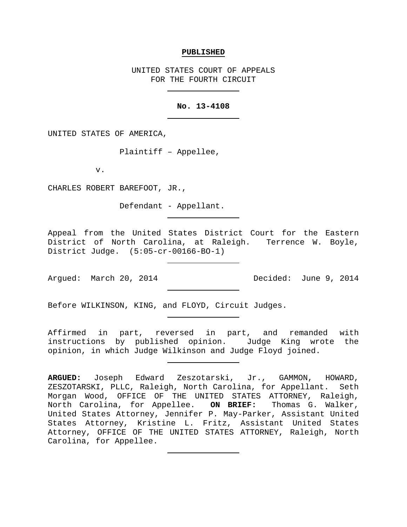#### **PUBLISHED**

UNITED STATES COURT OF APPEALS FOR THE FOURTH CIRCUIT

### **No. 13-4108**

UNITED STATES OF AMERICA,

Plaintiff – Appellee,

v.

CHARLES ROBERT BAREFOOT, JR.,

Defendant - Appellant.

Appeal from the United States District Court for the Eastern District of North Carolina, at Raleigh. Terrence W. Boyle, District Judge. (5:05-cr-00166-BO-1)

Arqued: March 20, 2014 Decided: June 9, 2014

Before WILKINSON, KING, and FLOYD, Circuit Judges.

Affirmed in part, reversed in part, and remanded with instructions by published opinion. Judge King wrote the opinion, in which Judge Wilkinson and Judge Floyd joined.

**ARGUED:** Joseph Edward Zeszotarski, Jr., GAMMON, HOWARD, ZESZOTARSKI, PLLC, Raleigh, North Carolina, for Appellant. Seth Morgan Wood, OFFICE OF THE UNITED STATES ATTORNEY, Raleigh, North Carolina, for Appellee. **ON BRIEF:** Thomas G. Walker, United States Attorney, Jennifer P. May-Parker, Assistant United States Attorney, Kristine L. Fritz, Assistant United States Attorney, OFFICE OF THE UNITED STATES ATTORNEY, Raleigh, North Carolina, for Appellee.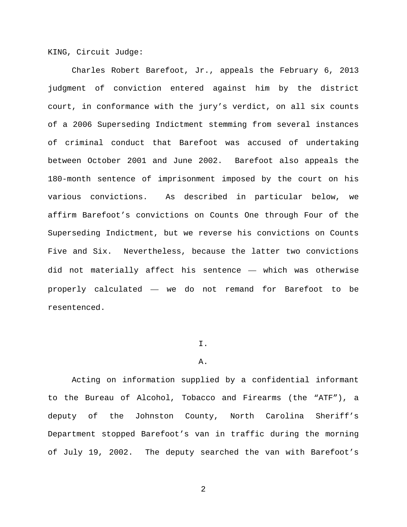KING, Circuit Judge:

Charles Robert Barefoot, Jr., appeals the February 6, 2013 judgment of conviction entered against him by the district court, in conformance with the jury's verdict, on all six counts of a 2006 Superseding Indictment stemming from several instances of criminal conduct that Barefoot was accused of undertaking between October 2001 and June 2002. Barefoot also appeals the 180-month sentence of imprisonment imposed by the court on his various convictions. As described in particular below, we affirm Barefoot's convictions on Counts One through Four of the Superseding Indictment, but we reverse his convictions on Counts Five and Six. Nevertheless, because the latter two convictions did not materially affect his sentence — which was otherwise properly calculated — we do not remand for Barefoot to be resentenced.

# I.

# A.

Acting on information supplied by a confidential informant to the Bureau of Alcohol, Tobacco and Firearms (the "ATF"), a deputy of the Johnston County, North Carolina Sheriff's Department stopped Barefoot's van in traffic during the morning of July 19, 2002. The deputy searched the van with Barefoot's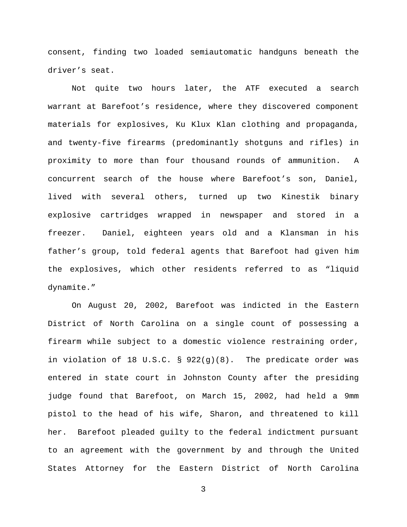consent, finding two loaded semiautomatic handguns beneath the driver's seat.

Not quite two hours later, the ATF executed a search warrant at Barefoot's residence, where they discovered component materials for explosives, Ku Klux Klan clothing and propaganda, and twenty-five firearms (predominantly shotguns and rifles) in proximity to more than four thousand rounds of ammunition. A concurrent search of the house where Barefoot's son, Daniel, lived with several others, turned up two Kinestik binary explosive cartridges wrapped in newspaper and stored in a freezer. Daniel, eighteen years old and a Klansman in his father's group, told federal agents that Barefoot had given him the explosives, which other residents referred to as "liquid dynamite."

On August 20, 2002, Barefoot was indicted in the Eastern District of North Carolina on a single count of possessing a firearm while subject to a domestic violence restraining order, in violation of 18 U.S.C. § 922(g)(8). The predicate order was entered in state court in Johnston County after the presiding judge found that Barefoot, on March 15, 2002, had held a 9mm pistol to the head of his wife, Sharon, and threatened to kill her. Barefoot pleaded guilty to the federal indictment pursuant to an agreement with the government by and through the United States Attorney for the Eastern District of North Carolina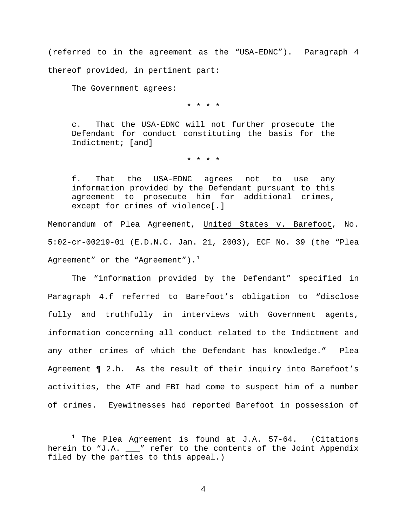(referred to in the agreement as the "USA-EDNC"). Paragraph 4 thereof provided, in pertinent part:

The Government agrees:

\* \* \* \*

c. That the USA-EDNC will not further prosecute the Defendant for conduct constituting the basis for the Indictment; [and]

\* \* \* \*

f. That the USA-EDNC agrees not to use any information provided by the Defendant pursuant to this agreement to prosecute him for additional crimes, except for crimes of violence[.]

Memorandum of Plea Agreement, United States v. Barefoot, No. 5:02-cr-00219-01 (E.D.N.C. Jan. 21, 2003), ECF No. 39 (the "Plea Agreement" or the "Agreement"). $<sup>1</sup>$  $<sup>1</sup>$  $<sup>1</sup>$ </sup>

The "information provided by the Defendant" specified in Paragraph 4.f referred to Barefoot's obligation to "disclose fully and truthfully in interviews with Government agents, information concerning all conduct related to the Indictment and any other crimes of which the Defendant has knowledge." Plea Agreement ¶ 2.h. As the result of their inquiry into Barefoot's activities, the ATF and FBI had come to suspect him of a number of crimes. Eyewitnesses had reported Barefoot in possession of

<span id="page-3-0"></span> $1$  The Plea Agreement is found at J.A. 57-64. (Citations herein to "J.A.  $\frac{1}{\sqrt{2}}$ " refer to the contents of the Joint Appendix filed by the parties to this appeal.)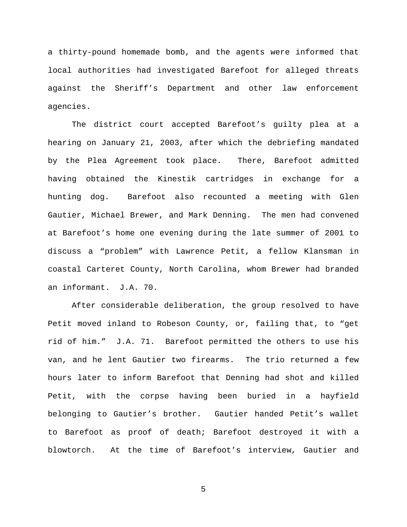a thirty-pound homemade bomb, and the agents were informed that local authorities had investigated Barefoot for alleged threats against the Sheriff's Department and other law enforcement agencies.

The district court accepted Barefoot's guilty plea at a hearing on January 21, 2003, after which the debriefing mandated by the Plea Agreement took place. There, Barefoot admitted having obtained the Kinestik cartridges in exchange for a hunting dog. Barefoot also recounted a meeting with Glen Gautier, Michael Brewer, and Mark Denning. The men had convened at Barefoot's home one evening during the late summer of 2001 to discuss a "problem" with Lawrence Petit, a fellow Klansman in coastal Carteret County, North Carolina, whom Brewer had branded an informant. J.A. 70.

After considerable deliberation, the group resolved to have Petit moved inland to Robeson County, or, failing that, to "get rid of him." J.A. 71. Barefoot permitted the others to use his van, and he lent Gautier two firearms. The trio returned a few hours later to inform Barefoot that Denning had shot and killed Petit, with the corpse having been buried in a hayfield belonging to Gautier's brother. Gautier handed Petit's wallet to Barefoot as proof of death; Barefoot destroyed it with a blowtorch. At the time of Barefoot's interview, Gautier and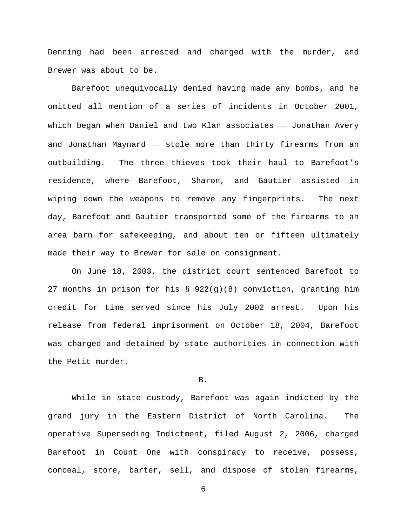Denning had been arrested and charged with the murder, and Brewer was about to be.

Barefoot unequivocally denied having made any bombs, and he omitted all mention of a series of incidents in October 2001, which began when Daniel and two Klan associates — Jonathan Avery and Jonathan Maynard — stole more than thirty firearms from an outbuilding. The three thieves took their haul to Barefoot's residence, where Barefoot, Sharon, and Gautier assisted in wiping down the weapons to remove any fingerprints. The next day, Barefoot and Gautier transported some of the firearms to an area barn for safekeeping, and about ten or fifteen ultimately made their way to Brewer for sale on consignment.

On June 18, 2003, the district court sentenced Barefoot to 27 months in prison for his § 922(g)(8) conviction, granting him credit for time served since his July 2002 arrest. Upon his release from federal imprisonment on October 18, 2004, Barefoot was charged and detained by state authorities in connection with the Petit murder.

B.

While in state custody, Barefoot was again indicted by the grand jury in the Eastern District of North Carolina. The operative Superseding Indictment, filed August 2, 2006, charged Barefoot in Count One with conspiracy to receive, possess, conceal, store, barter, sell, and dispose of stolen firearms,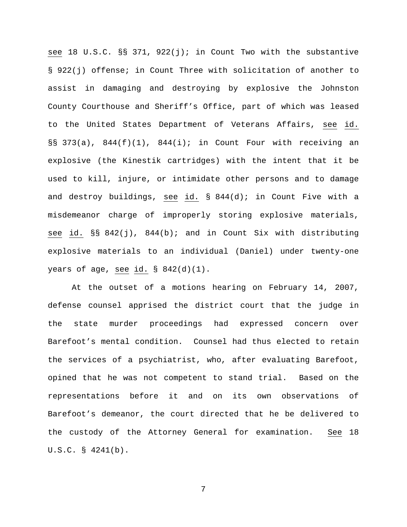see 18 U.S.C. §§ 371, 922(j); in Count Two with the substantive § 922(j) offense; in Count Three with solicitation of another to assist in damaging and destroying by explosive the Johnston County Courthouse and Sheriff's Office, part of which was leased to the United States Department of Veterans Affairs, see id. §§ 373(a), 844(f)(1), 844(i); in Count Four with receiving an explosive (the Kinestik cartridges) with the intent that it be used to kill, injure, or intimidate other persons and to damage and destroy buildings, see id. § 844(d); in Count Five with a misdemeanor charge of improperly storing explosive materials, see id. §§ 842(j), 844(b); and in Count Six with distributing explosive materials to an individual (Daniel) under twenty-one years of age, see id.  $\S$  842(d)(1).

At the outset of a motions hearing on February 14, 2007, defense counsel apprised the district court that the judge in the state murder proceedings had expressed concern over Barefoot's mental condition. Counsel had thus elected to retain the services of a psychiatrist, who, after evaluating Barefoot, opined that he was not competent to stand trial. Based on the representations before it and on its own observations of Barefoot's demeanor, the court directed that he be delivered to the custody of the Attorney General for examination. See 18 U.S.C. § 4241(b).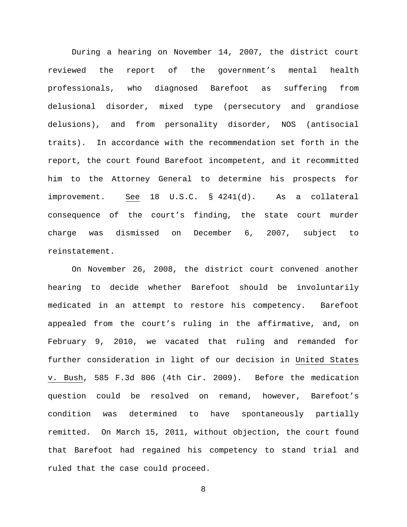During a hearing on November 14, 2007, the district court reviewed the report of the government's mental health professionals, who diagnosed Barefoot as suffering from delusional disorder, mixed type (persecutory and grandiose delusions), and from personality disorder, NOS (antisocial traits). In accordance with the recommendation set forth in the report, the court found Barefoot incompetent, and it recommitted him to the Attorney General to determine his prospects for improvement. See 18 U.S.C. § 4241(d). As a collateral consequence of the court's finding, the state court murder charge was dismissed on December 6, 2007, subject to reinstatement.

On November 26, 2008, the district court convened another hearing to decide whether Barefoot should be involuntarily medicated in an attempt to restore his competency. Barefoot appealed from the court's ruling in the affirmative, and, on February 9, 2010, we vacated that ruling and remanded for further consideration in light of our decision in United States v. Bush, 585 F.3d 806 (4th Cir. 2009). Before the medication question could be resolved on remand, however, Barefoot's condition was determined to have spontaneously partially remitted. On March 15, 2011, without objection, the court found that Barefoot had regained his competency to stand trial and ruled that the case could proceed.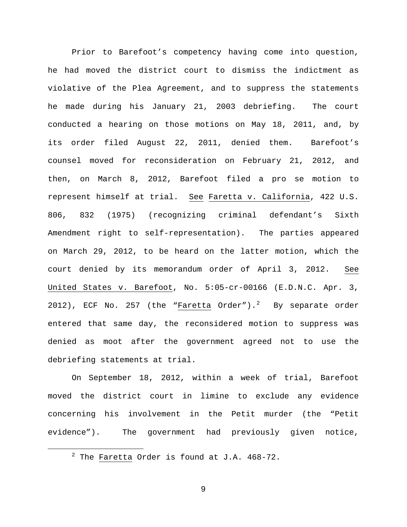Prior to Barefoot's competency having come into question, he had moved the district court to dismiss the indictment as violative of the Plea Agreement, and to suppress the statements he made during his January 21, 2003 debriefing. The court conducted a hearing on those motions on May 18, 2011, and, by its order filed August 22, 2011, denied them. Barefoot's counsel moved for reconsideration on February 21, 2012, and then, on March 8, 2012, Barefoot filed a pro se motion to represent himself at trial. See Faretta v. California, 422 U.S. 806, 832 (1975) (recognizing criminal defendant's Sixth Amendment right to self-representation). The parties appeared on March 29, 2012, to be heard on the latter motion, which the court denied by its memorandum order of April 3, 2012. See United States v. Barefoot, No. 5:05-cr-00166 (E.D.N.C. Apr. 3, [2](#page-8-0)012), ECF No. 257 (the "<u>Faretta</u> Order").<sup>2</sup> By separate order entered that same day, the reconsidered motion to suppress was denied as moot after the government agreed not to use the debriefing statements at trial.

On September 18, 2012, within a week of trial, Barefoot moved the district court in limine to exclude any evidence concerning his involvement in the Petit murder (the "Petit evidence"). The government had previously given notice,

<span id="page-8-0"></span> $2$  The Faretta Order is found at J.A. 468-72.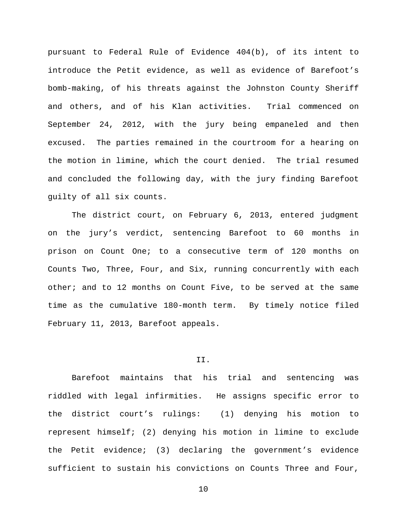pursuant to Federal Rule of Evidence 404(b), of its intent to introduce the Petit evidence, as well as evidence of Barefoot's bomb-making, of his threats against the Johnston County Sheriff and others, and of his Klan activities. Trial commenced on September 24, 2012, with the jury being empaneled and then excused. The parties remained in the courtroom for a hearing on the motion in limine, which the court denied. The trial resumed and concluded the following day, with the jury finding Barefoot guilty of all six counts.

The district court, on February 6, 2013, entered judgment on the jury's verdict, sentencing Barefoot to 60 months in prison on Count One; to a consecutive term of 120 months on Counts Two, Three, Four, and Six, running concurrently with each other; and to 12 months on Count Five, to be served at the same time as the cumulative 180-month term. By timely notice filed February 11, 2013, Barefoot appeals.

#### II.

Barefoot maintains that his trial and sentencing was riddled with legal infirmities. He assigns specific error to the district court's rulings: (1) denying his motion to represent himself; (2) denying his motion in limine to exclude the Petit evidence; (3) declaring the government's evidence sufficient to sustain his convictions on Counts Three and Four,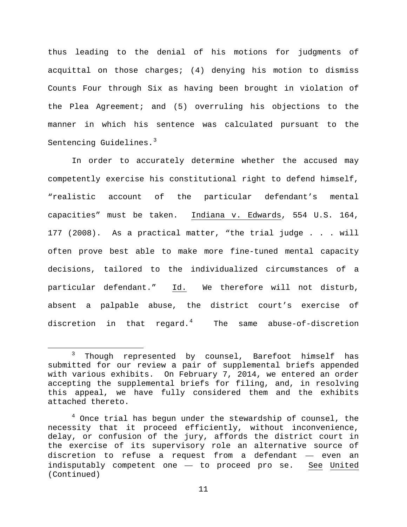thus leading to the denial of his motions for judgments of acquittal on those charges; (4) denying his motion to dismiss Counts Four through Six as having been brought in violation of the Plea Agreement; and (5) overruling his objections to the manner in which his sentence was calculated pursuant to the Sentencing Guidelines.<sup>[3](#page-10-0)</sup>

In order to accurately determine whether the accused may competently exercise his constitutional right to defend himself, "realistic account of the particular defendant's mental capacities" must be taken. Indiana v. Edwards, 554 U.S. 164, 177 (2008). As a practical matter, "the trial judge . . . will often prove best able to make more fine-tuned mental capacity decisions, tailored to the individualized circumstances of a particular defendant." Id. We therefore will not disturb, absent a palpable abuse, the district court's exercise of discretion in that regard.[4](#page-10-1) The same abuse-of-discretion

<span id="page-10-0"></span><sup>&</sup>lt;sup>3</sup> Though represented by counsel, Barefoot himself has submitted for our review a pair of supplemental briefs appended with various exhibits. On February 7, 2014, we entered an order accepting the supplemental briefs for filing, and, in resolving this appeal, we have fully considered them and the exhibits attached thereto.

<span id="page-10-1"></span><sup>&</sup>lt;sup>4</sup> Once trial has begun under the stewardship of counsel, the necessity that it proceed efficiently, without inconvenience, delay, or confusion of the jury, affords the district court in the exercise of its supervisory role an alternative source of discretion to refuse a request from a defendant — even an indisputably competent one — to proceed pro se. See United (Continued)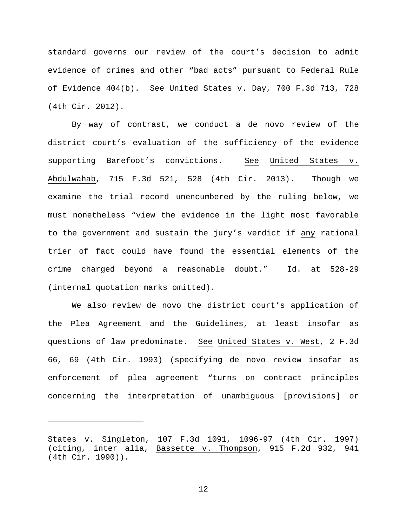standard governs our review of the court's decision to admit evidence of crimes and other "bad acts" pursuant to Federal Rule of Evidence 404(b). See United States v. Day, 700 F.3d 713, 728 (4th Cir. 2012).

By way of contrast, we conduct a de novo review of the district court's evaluation of the sufficiency of the evidence supporting Barefoot's convictions. See United States v. Abdulwahab, 715 F.3d 521, 528 (4th Cir. 2013). Though we examine the trial record unencumbered by the ruling below, we must nonetheless "view the evidence in the light most favorable to the government and sustain the jury's verdict if any rational trier of fact could have found the essential elements of the crime charged beyond a reasonable doubt." Id. at 528-29 (internal quotation marks omitted).

We also review de novo the district court's application of the Plea Agreement and the Guidelines, at least insofar as questions of law predominate. See United States v. West, 2 F.3d 66, 69 (4th Cir. 1993) (specifying de novo review insofar as enforcement of plea agreement "turns on contract principles concerning the interpretation of unambiguous [provisions] or

Ĩ.

States v. Singleton, 107 F.3d 1091, 1096-97 (4th Cir. 1997) (citing, inter alia, Bassette v. Thompson, 915 F.2d 932, 941 (4th Cir. 1990)).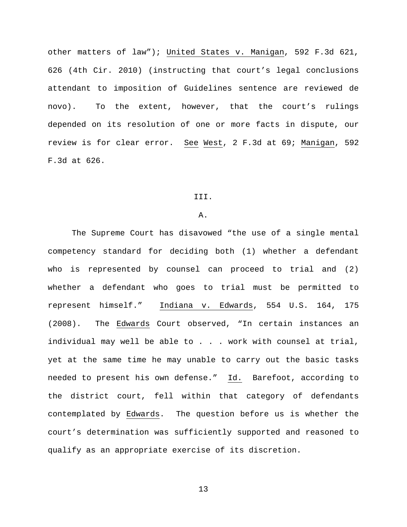other matters of law"); United States v. Manigan, 592 F.3d 621, 626 (4th Cir. 2010) (instructing that court's legal conclusions attendant to imposition of Guidelines sentence are reviewed de novo). To the extent, however, that the court's rulings depended on its resolution of one or more facts in dispute, our review is for clear error. See West, 2 F.3d at 69; Manigan, 592 F.3d at 626.

#### III.

## A.

The Supreme Court has disavowed "the use of a single mental competency standard for deciding both (1) whether a defendant who is represented by counsel can proceed to trial and (2) whether a defendant who goes to trial must be permitted to represent himself." Indiana v. Edwards, 554 U.S. 164, 175 (2008). The Edwards Court observed, "In certain instances an individual may well be able to . . . work with counsel at trial, yet at the same time he may unable to carry out the basic tasks needed to present his own defense." Id. Barefoot, according to the district court, fell within that category of defendants contemplated by Edwards. The question before us is whether the court's determination was sufficiently supported and reasoned to qualify as an appropriate exercise of its discretion.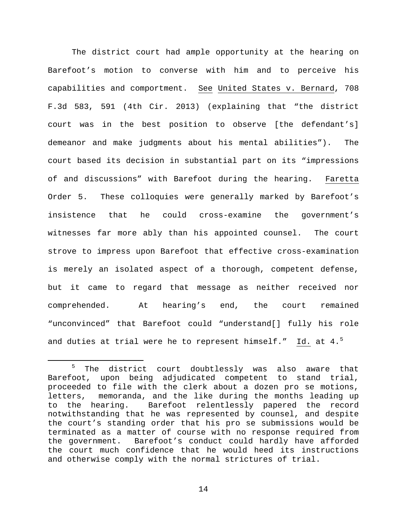The district court had ample opportunity at the hearing on Barefoot's motion to converse with him and to perceive his capabilities and comportment. See United States v. Bernard, 708 F.3d 583, 591 (4th Cir. 2013) (explaining that "the district court was in the best position to observe [the defendant's] demeanor and make judgments about his mental abilities"). The court based its decision in substantial part on its "impressions of and discussions" with Barefoot during the hearing. Faretta Order 5. These colloquies were generally marked by Barefoot's insistence that he could cross-examine the government's witnesses far more ably than his appointed counsel. The court strove to impress upon Barefoot that effective cross-examination is merely an isolated aspect of a thorough, competent defense, but it came to regard that message as neither received nor comprehended. At hearing's end, the court remained "unconvinced" that Barefoot could "understand[] fully his role and duties at trial were he to represent himself." Id. at  $4.^5$  $4.^5$ 

<span id="page-13-0"></span> <sup>5</sup> The district court doubtlessly was also aware that Barefoot, upon being adjudicated competent to stand trial, proceeded to file with the clerk about a dozen pro se motions, letters, memoranda, and the like during the months leading up to the hearing. Barefoot relentlessly papered the record notwithstanding that he was represented by counsel, and despite the court's standing order that his pro se submissions would be terminated as a matter of course with no response required from the government. Barefoot's conduct could hardly have afforded the court much confidence that he would heed its instructions and otherwise comply with the normal strictures of trial.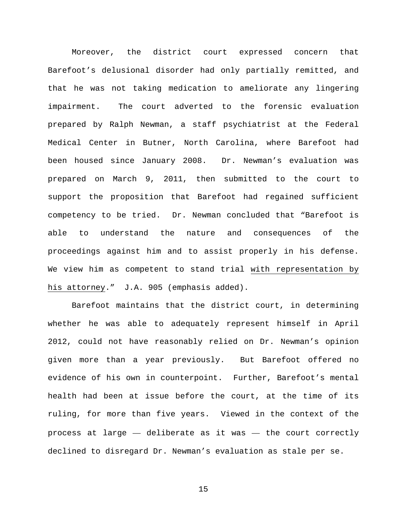Moreover, the district court expressed concern that Barefoot's delusional disorder had only partially remitted, and that he was not taking medication to ameliorate any lingering impairment. The court adverted to the forensic evaluation prepared by Ralph Newman, a staff psychiatrist at the Federal Medical Center in Butner, North Carolina, where Barefoot had been housed since January 2008. Dr. Newman's evaluation was prepared on March 9, 2011, then submitted to the court to support the proposition that Barefoot had regained sufficient competency to be tried. Dr. Newman concluded that "Barefoot is able to understand the nature and consequences of the proceedings against him and to assist properly in his defense. We view him as competent to stand trial with representation by his attorney." J.A. 905 (emphasis added).

Barefoot maintains that the district court, in determining whether he was able to adequately represent himself in April 2012, could not have reasonably relied on Dr. Newman's opinion given more than a year previously. But Barefoot offered no evidence of his own in counterpoint. Further, Barefoot's mental health had been at issue before the court, at the time of its ruling, for more than five years. Viewed in the context of the process at large — deliberate as it was — the court correctly declined to disregard Dr. Newman's evaluation as stale per se.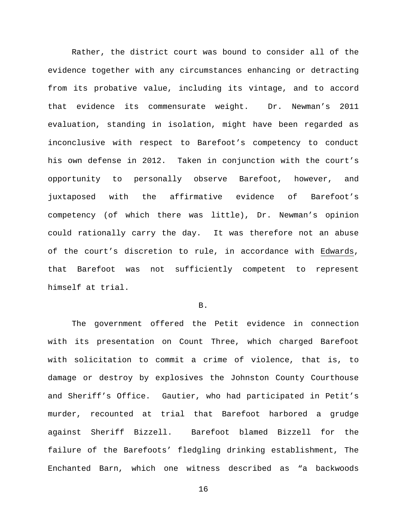Rather, the district court was bound to consider all of the evidence together with any circumstances enhancing or detracting from its probative value, including its vintage, and to accord that evidence its commensurate weight. Dr. Newman's 2011 evaluation, standing in isolation, might have been regarded as inconclusive with respect to Barefoot's competency to conduct his own defense in 2012. Taken in conjunction with the court's opportunity to personally observe Barefoot, however, and juxtaposed with the affirmative evidence of Barefoot's competency (of which there was little), Dr. Newman's opinion could rationally carry the day. It was therefore not an abuse of the court's discretion to rule, in accordance with Edwards, that Barefoot was not sufficiently competent to represent himself at trial.

#### B.

The government offered the Petit evidence in connection with its presentation on Count Three, which charged Barefoot with solicitation to commit a crime of violence, that is, to damage or destroy by explosives the Johnston County Courthouse and Sheriff's Office. Gautier, who had participated in Petit's murder, recounted at trial that Barefoot harbored a grudge against Sheriff Bizzell. Barefoot blamed Bizzell for the failure of the Barefoots' fledgling drinking establishment, The Enchanted Barn, which one witness described as "a backwoods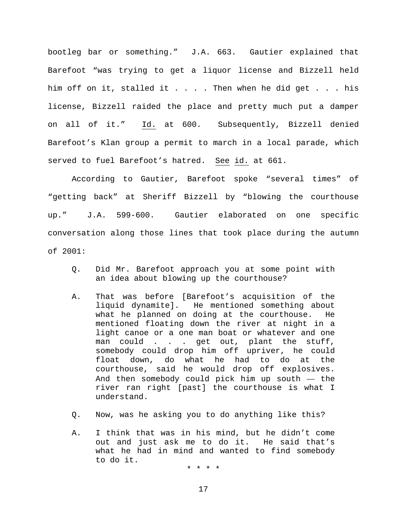bootleg bar or something." J.A. 663. Gautier explained that Barefoot "was trying to get a liquor license and Bizzell held him off on it, stalled it . . . . Then when he did get . . . his license, Bizzell raided the place and pretty much put a damper on all of it." Id. at 600. Subsequently, Bizzell denied Barefoot's Klan group a permit to march in a local parade, which served to fuel Barefoot's hatred. See id. at 661.

According to Gautier, Barefoot spoke "several times" of "getting back" at Sheriff Bizzell by "blowing the courthouse up." J.A. 599-600. Gautier elaborated on one specific conversation along those lines that took place during the autumn of 2001:

- Q. Did Mr. Barefoot approach you at some point with an idea about blowing up the courthouse?
- A. That was before [Barefoot's acquisition of the liquid dynamite]. He mentioned something about what he planned on doing at the courthouse. He mentioned floating down the river at night in a light canoe or a one man boat or whatever and one man could . . . get out, plant the stuff, somebody could drop him off upriver, he could float down, do what he had to do at the courthouse, said he would drop off explosives. And then somebody could pick him up south  $-$  the river ran right [past] the courthouse is what I understand.
- Q. Now, was he asking you to do anything like this?
- A. I think that was in his mind, but he didn't come<br>out and just ask me to do it. He said that's out and just ask me to do it. what he had in mind and wanted to find somebody to do it.

\* \* \* \*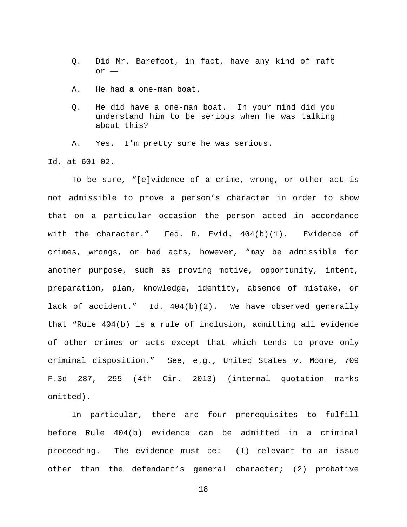- Q. Did Mr. Barefoot, in fact, have any kind of raft or —
- A. He had a one-man boat.
- Q. He did have a one-man boat. In your mind did you understand him to be serious when he was talking about this?

A. Yes. I'm pretty sure he was serious.

Id. at 601-02.

To be sure, "[e]vidence of a crime, wrong, or other act is not admissible to prove a person's character in order to show that on a particular occasion the person acted in accordance with the character." Fed. R. Evid. 404(b)(1). Evidence of crimes, wrongs, or bad acts, however, "may be admissible for another purpose, such as proving motive, opportunity, intent, preparation, plan, knowledge, identity, absence of mistake, or lack of accident." Id. 404(b)(2). We have observed generally that "Rule 404(b) is a rule of inclusion, admitting all evidence of other crimes or acts except that which tends to prove only criminal disposition." See, e.g., United States v. Moore, 709 F.3d 287, 295 (4th Cir. 2013) (internal quotation marks omitted).

In particular, there are four prerequisites to fulfill before Rule 404(b) evidence can be admitted in a criminal proceeding. The evidence must be: (1) relevant to an issue other than the defendant's general character; (2) probative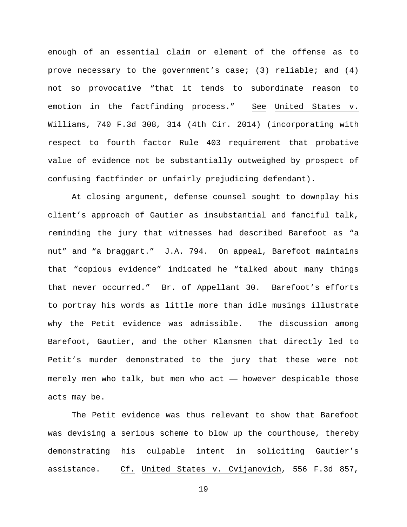enough of an essential claim or element of the offense as to prove necessary to the government's case; (3) reliable; and  $(4)$ not so provocative "that it tends to subordinate reason to emotion in the factfinding process." See United States v. Williams, 740 F.3d 308, 314 (4th Cir. 2014) (incorporating with respect to fourth factor Rule 403 requirement that probative value of evidence not be substantially outweighed by prospect of confusing factfinder or unfairly prejudicing defendant).

At closing argument, defense counsel sought to downplay his client's approach of Gautier as insubstantial and fanciful talk, reminding the jury that witnesses had described Barefoot as "a nut" and "a braggart." J.A. 794. On appeal, Barefoot maintains that "copious evidence" indicated he "talked about many things that never occurred." Br. of Appellant 30. Barefoot's efforts to portray his words as little more than idle musings illustrate why the Petit evidence was admissible. The discussion among Barefoot, Gautier, and the other Klansmen that directly led to Petit's murder demonstrated to the jury that these were not merely men who talk, but men who act — however despicable those acts may be.

The Petit evidence was thus relevant to show that Barefoot was devising a serious scheme to blow up the courthouse, thereby demonstrating his culpable intent in soliciting Gautier's assistance. Cf. United States v. Cvijanovich, 556 F.3d 857,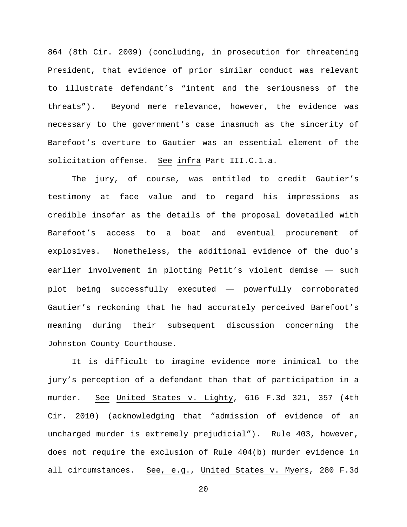864 (8th Cir. 2009) (concluding, in prosecution for threatening President, that evidence of prior similar conduct was relevant to illustrate defendant's "intent and the seriousness of the threats"). Beyond mere relevance, however, the evidence was necessary to the government's case inasmuch as the sincerity of Barefoot's overture to Gautier was an essential element of the solicitation offense. See infra Part III.C.1.a.

The jury, of course, was entitled to credit Gautier's testimony at face value and to regard his impressions as credible insofar as the details of the proposal dovetailed with Barefoot's access to a boat and eventual procurement of explosives. Nonetheless, the additional evidence of the duo's earlier involvement in plotting Petit's violent demise — such plot being successfully executed — powerfully corroborated Gautier's reckoning that he had accurately perceived Barefoot's meaning during their subsequent discussion concerning the Johnston County Courthouse.

It is difficult to imagine evidence more inimical to the jury's perception of a defendant than that of participation in a murder. See United States v. Lighty, 616 F.3d 321, 357 (4th Cir. 2010) (acknowledging that "admission of evidence of an uncharged murder is extremely prejudicial"). Rule 403, however, does not require the exclusion of Rule 404(b) murder evidence in all circumstances. See, e.g., United States v. Myers, 280 F.3d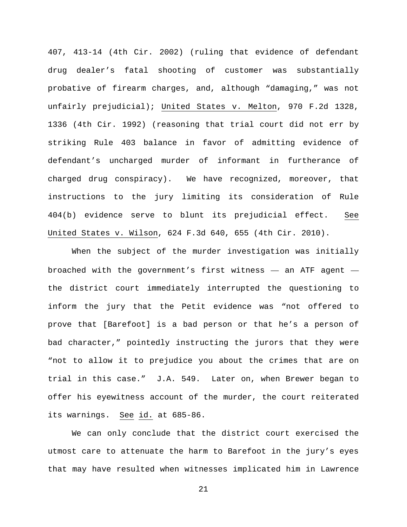407, 413-14 (4th Cir. 2002) (ruling that evidence of defendant drug dealer's fatal shooting of customer was substantially probative of firearm charges, and, although "damaging," was not unfairly prejudicial); United States v. Melton, 970 F.2d 1328, 1336 (4th Cir. 1992) (reasoning that trial court did not err by striking Rule 403 balance in favor of admitting evidence of defendant's uncharged murder of informant in furtherance of charged drug conspiracy). We have recognized, moreover, that instructions to the jury limiting its consideration of Rule 404(b) evidence serve to blunt its prejudicial effect. See United States v. Wilson, 624 F.3d 640, 655 (4th Cir. 2010).

When the subject of the murder investigation was initially broached with the government's first witness — an ATF agent the district court immediately interrupted the questioning to inform the jury that the Petit evidence was "not offered to prove that [Barefoot] is a bad person or that he's a person of bad character," pointedly instructing the jurors that they were "not to allow it to prejudice you about the crimes that are on trial in this case." J.A. 549. Later on, when Brewer began to offer his eyewitness account of the murder, the court reiterated its warnings. See id. at 685-86.

We can only conclude that the district court exercised the utmost care to attenuate the harm to Barefoot in the jury's eyes that may have resulted when witnesses implicated him in Lawrence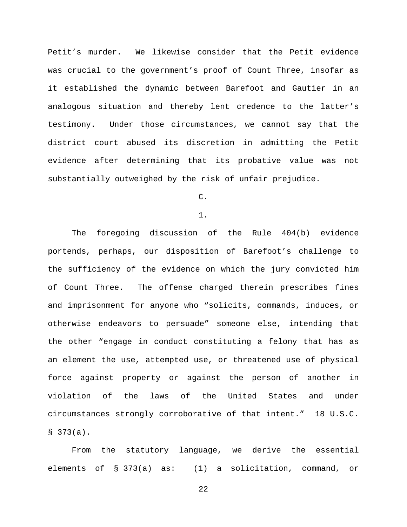Petit's murder. We likewise consider that the Petit evidence was crucial to the government's proof of Count Three, insofar as it established the dynamic between Barefoot and Gautier in an analogous situation and thereby lent credence to the latter's testimony. Under those circumstances, we cannot say that the district court abused its discretion in admitting the Petit evidence after determining that its probative value was not substantially outweighed by the risk of unfair prejudice.

# C.

1.

The foregoing discussion of the Rule 404(b) evidence portends, perhaps, our disposition of Barefoot's challenge to the sufficiency of the evidence on which the jury convicted him of Count Three. The offense charged therein prescribes fines and imprisonment for anyone who "solicits, commands, induces, or otherwise endeavors to persuade" someone else, intending that the other "engage in conduct constituting a felony that has as an element the use, attempted use, or threatened use of physical force against property or against the person of another in violation of the laws of the United States and under circumstances strongly corroborative of that intent." 18 U.S.C.  $$373(a).$ 

From the statutory language, we derive the essential elements of § 373(a) as: (1) a solicitation, command, or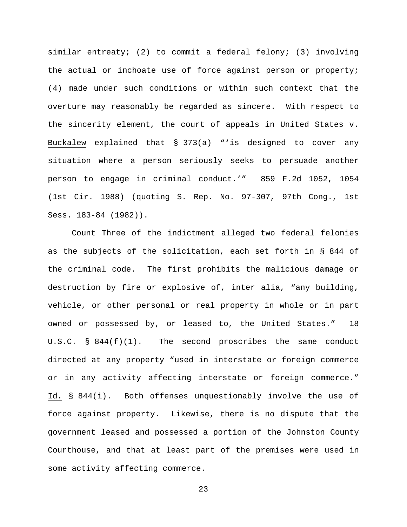similar entreaty; (2) to commit a federal felony; (3) involving the actual or inchoate use of force against person or property; (4) made under such conditions or within such context that the overture may reasonably be regarded as sincere. With respect to the sincerity element, the court of appeals in United States v. Buckalew explained that § 373(a) "'is designed to cover any situation where a person seriously seeks to persuade another person to engage in criminal conduct.'" 859 F.2d 1052, 1054 (1st Cir. 1988) (quoting S. Rep. No. 97-307, 97th Cong., 1st Sess. 183-84 (1982)).

Count Three of the indictment alleged two federal felonies as the subjects of the solicitation, each set forth in § 844 of the criminal code. The first prohibits the malicious damage or destruction by fire or explosive of, inter alia, "any building, vehicle, or other personal or real property in whole or in part owned or possessed by, or leased to, the United States." 18 U.S.C.  $\S$  844(f)(1). The second proscribes the same conduct directed at any property "used in interstate or foreign commerce or in any activity affecting interstate or foreign commerce." Id. § 844(i). Both offenses unquestionably involve the use of force against property. Likewise, there is no dispute that the government leased and possessed a portion of the Johnston County Courthouse, and that at least part of the premises were used in some activity affecting commerce.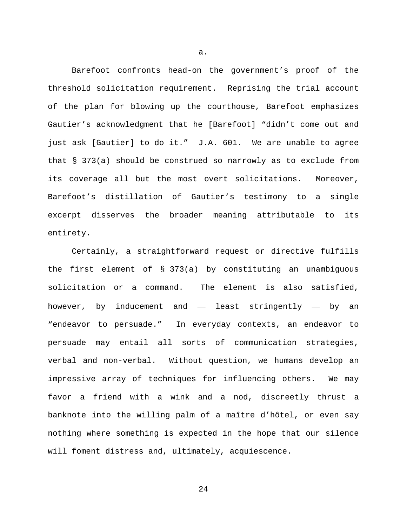Barefoot confronts head-on the government's proof of the threshold solicitation requirement. Reprising the trial account of the plan for blowing up the courthouse, Barefoot emphasizes Gautier's acknowledgment that he [Barefoot] "didn't come out and just ask [Gautier] to do it." J.A. 601. We are unable to agree that § 373(a) should be construed so narrowly as to exclude from its coverage all but the most overt solicitations. Moreover, Barefoot's distillation of Gautier's testimony to a single excerpt disserves the broader meaning attributable to its entirety.

Certainly, a straightforward request or directive fulfills the first element of § 373(a) by constituting an unambiguous solicitation or a command. The element is also satisfied, however, by inducement and — least stringently — by an "endeavor to persuade." In everyday contexts, an endeavor to persuade may entail all sorts of communication strategies, verbal and non-verbal. Without question, we humans develop an impressive array of techniques for influencing others. We may favor a friend with a wink and a nod, discreetly thrust a banknote into the willing palm of a maître d'hôtel, or even say nothing where something is expected in the hope that our silence will foment distress and, ultimately, acquiescence.

a.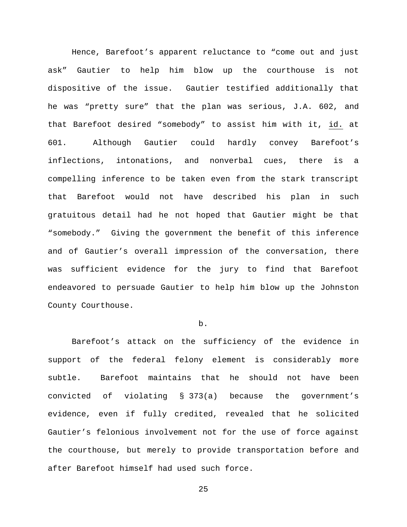Hence, Barefoot's apparent reluctance to "come out and just ask" Gautier to help him blow up the courthouse is not dispositive of the issue. Gautier testified additionally that he was "pretty sure" that the plan was serious, J.A. 602, and that Barefoot desired "somebody" to assist him with it, id. at 601. Although Gautier could hardly convey Barefoot's inflections, intonations, and nonverbal cues, there is a compelling inference to be taken even from the stark transcript that Barefoot would not have described his plan in such gratuitous detail had he not hoped that Gautier might be that "somebody." Giving the government the benefit of this inference and of Gautier's overall impression of the conversation, there was sufficient evidence for the jury to find that Barefoot endeavored to persuade Gautier to help him blow up the Johnston County Courthouse.

## b.

Barefoot's attack on the sufficiency of the evidence in support of the federal felony element is considerably more subtle. Barefoot maintains that he should not have been convicted of violating § 373(a) because the government's evidence, even if fully credited, revealed that he solicited Gautier's felonious involvement not for the use of force against the courthouse, but merely to provide transportation before and after Barefoot himself had used such force.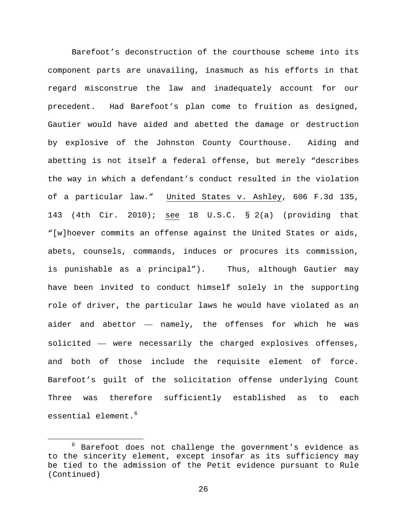Barefoot's deconstruction of the courthouse scheme into its component parts are unavailing, inasmuch as his efforts in that regard misconstrue the law and inadequately account for our precedent. Had Barefoot's plan come to fruition as designed, Gautier would have aided and abetted the damage or destruction by explosive of the Johnston County Courthouse. Aiding and abetting is not itself a federal offense, but merely "describes the way in which a defendant's conduct resulted in the violation of a particular law." United States v. Ashley, 606 F.3d 135, 143 (4th Cir. 2010); see 18 U.S.C. § 2(a) (providing that "[w]hoever commits an offense against the United States or aids, abets, counsels, commands, induces or procures its commission, is punishable as a principal"). Thus, although Gautier may have been invited to conduct himself solely in the supporting role of driver, the particular laws he would have violated as an aider and abettor — namely, the offenses for which he was solicited — were necessarily the charged explosives offenses, and both of those include the requisite element of force. Barefoot's guilt of the solicitation offense underlying Count Three was therefore sufficiently established as to each essential element.<sup>[6](#page-25-0)</sup>

<span id="page-25-0"></span> $6$  Barefoot does not challenge the government's evidence as to the sincerity element, except insofar as its sufficiency may be tied to the admission of the Petit evidence pursuant to Rule (Continued)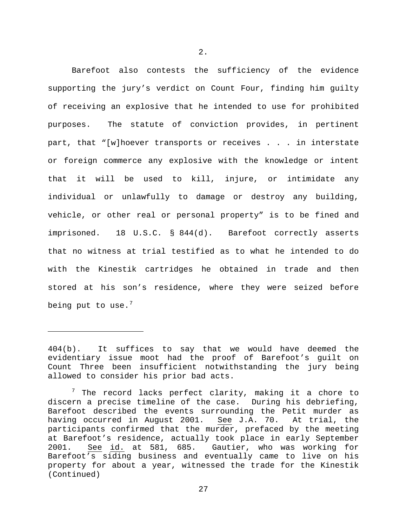Barefoot also contests the sufficiency of the evidence supporting the jury's verdict on Count Four, finding him guilty of receiving an explosive that he intended to use for prohibited purposes. The statute of conviction provides, in pertinent part, that "[w]hoever transports or receives . . . in interstate or foreign commerce any explosive with the knowledge or intent that it will be used to kill, injure, or intimidate any individual or unlawfully to damage or destroy any building, vehicle, or other real or personal property" is to be fined and imprisoned. 18 U.S.C. § 844(d). Barefoot correctly asserts that no witness at trial testified as to what he intended to do with the Kinestik cartridges he obtained in trade and then stored at his son's residence, where they were seized before being put to use. $<sup>7</sup>$  $<sup>7</sup>$  $<sup>7</sup>$ </sup>

Ĩ.

<sup>404(</sup>b). It suffices to say that we would have deemed the evidentiary issue moot had the proof of Barefoot's guilt on Count Three been insufficient notwithstanding the jury being allowed to consider his prior bad acts.

<span id="page-26-0"></span> $7$  The record lacks perfect clarity, making it a chore to discern a precise timeline of the case. During his debriefing, Barefoot described the events surrounding the Petit murder as having occurred in August 2001. See J.A. 70. At trial, the participants confirmed that the murder, prefaced by the meeting at Barefoot's residence, actually took place in early September<br>2001. See id. at 581, 685. Gautier, who was working for See id. at 581, 685. Gautier, who was working for Barefoot's siding business and eventually came to live on his property for about a year, witnessed the trade for the Kinestik (Continued)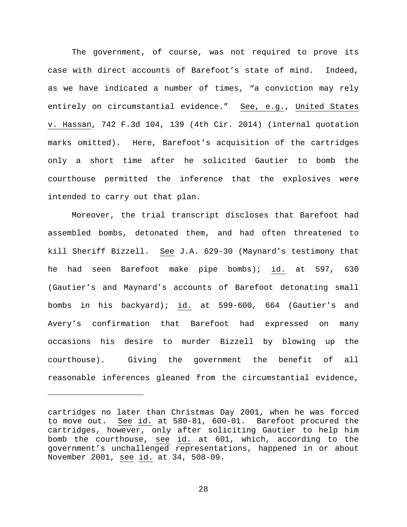The government, of course, was not required to prove its case with direct accounts of Barefoot's state of mind. Indeed, as we have indicated a number of times, "a conviction may rely entirely on circumstantial evidence." See, e.g., United States v. Hassan, 742 F.3d 104, 139 (4th Cir. 2014) (internal quotation marks omitted). Here, Barefoot's acquisition of the cartridges only a short time after he solicited Gautier to bomb the courthouse permitted the inference that the explosives were intended to carry out that plan.

Moreover, the trial transcript discloses that Barefoot had assembled bombs, detonated them, and had often threatened to kill Sheriff Bizzell. See J.A. 629-30 (Maynard's testimony that he had seen Barefoot make pipe bombs); id. at 597, 630 (Gautier's and Maynard's accounts of Barefoot detonating small bombs in his backyard); id. at 599-600, 664 (Gautier's and Avery's confirmation that Barefoot had expressed on many occasions his desire to murder Bizzell by blowing up the courthouse). Giving the government the benefit of all reasonable inferences gleaned from the circumstantial evidence,

ī

cartridges no later than Christmas Day 2001, when he was forced to move out. See id. at 580-81, 600-01. Barefoot procured the cartridges, however, only after soliciting Gautier to help him bomb the courthouse, see id. at 601, which, according to the government's unchallenged representations, happened in or about November 2001, see id. at 34, 508-09.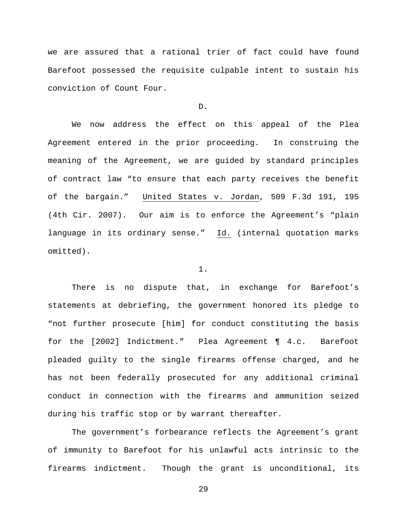we are assured that a rational trier of fact could have found Barefoot possessed the requisite culpable intent to sustain his conviction of Count Four.

#### D.

We now address the effect on this appeal of the Plea Agreement entered in the prior proceeding. In construing the meaning of the Agreement, we are guided by standard principles of contract law "to ensure that each party receives the benefit of the bargain." United States v. Jordan, 509 F.3d 191, 195 (4th Cir. 2007). Our aim is to enforce the Agreement's "plain language in its ordinary sense." Id. (internal quotation marks omitted).

#### 1.

There is no dispute that, in exchange for Barefoot's statements at debriefing, the government honored its pledge to "not further prosecute [him] for conduct constituting the basis for the [2002] Indictment." Plea Agreement ¶ 4.c. Barefoot pleaded guilty to the single firearms offense charged, and he has not been federally prosecuted for any additional criminal conduct in connection with the firearms and ammunition seized during his traffic stop or by warrant thereafter.

The government's forbearance reflects the Agreement's grant of immunity to Barefoot for his unlawful acts intrinsic to the firearms indictment. Though the grant is unconditional, its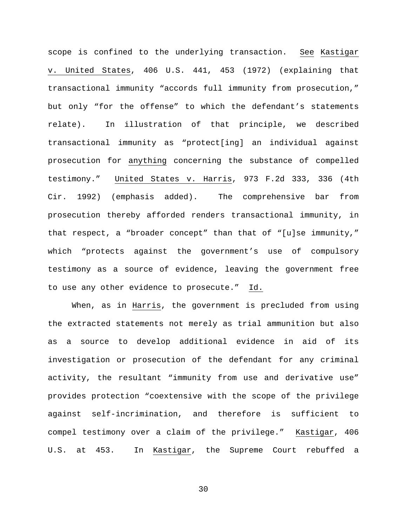scope is confined to the underlying transaction. See Kastigar v. United States, 406 U.S. 441, 453 (1972) (explaining that transactional immunity "accords full immunity from prosecution," but only "for the offense" to which the defendant's statements relate). In illustration of that principle, we described transactional immunity as "protect[ing] an individual against prosecution for anything concerning the substance of compelled testimony." United States v. Harris, 973 F.2d 333, 336 (4th Cir. 1992) (emphasis added). The comprehensive bar from prosecution thereby afforded renders transactional immunity, in that respect, a "broader concept" than that of "[u]se immunity," which "protects against the government's use of compulsory testimony as a source of evidence, leaving the government free to use any other evidence to prosecute." Id.

When, as in Harris, the government is precluded from using the extracted statements not merely as trial ammunition but also as a source to develop additional evidence in aid of its investigation or prosecution of the defendant for any criminal activity, the resultant "immunity from use and derivative use" provides protection "coextensive with the scope of the privilege against self-incrimination, and therefore is sufficient to compel testimony over a claim of the privilege." Kastigar, 406 U.S. at 453. In Kastigar, the Supreme Court rebuffed a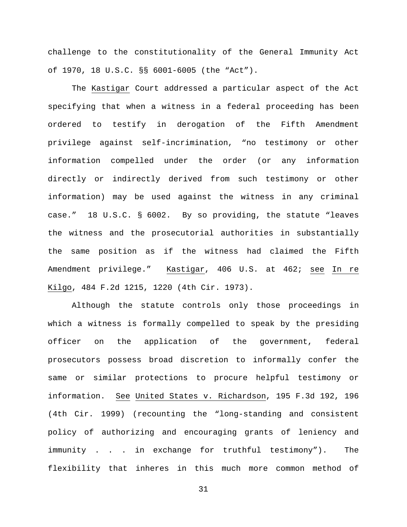challenge to the constitutionality of the General Immunity Act of 1970, 18 U.S.C. §§ 6001-6005 (the "Act").

The Kastigar Court addressed a particular aspect of the Act specifying that when a witness in a federal proceeding has been ordered to testify in derogation of the Fifth Amendment privilege against self-incrimination, "no testimony or other information compelled under the order (or any information directly or indirectly derived from such testimony or other information) may be used against the witness in any criminal case." 18 U.S.C. § 6002. By so providing, the statute "leaves the witness and the prosecutorial authorities in substantially the same position as if the witness had claimed the Fifth Amendment privilege." Kastigar, 406 U.S. at 462; see In re Kilgo, 484 F.2d 1215, 1220 (4th Cir. 1973).

Although the statute controls only those proceedings in which a witness is formally compelled to speak by the presiding officer on the application of the government, federal prosecutors possess broad discretion to informally confer the same or similar protections to procure helpful testimony or information. See United States v. Richardson, 195 F.3d 192, 196 (4th Cir. 1999) (recounting the "long-standing and consistent policy of authorizing and encouraging grants of leniency and immunity . . . in exchange for truthful testimony"). The flexibility that inheres in this much more common method of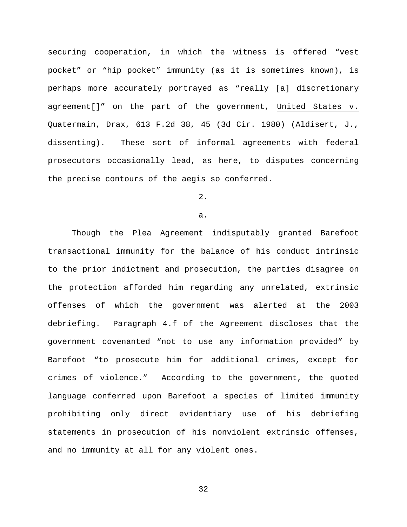securing cooperation, in which the witness is offered "vest pocket" or "hip pocket" immunity (as it is sometimes known), is perhaps more accurately portrayed as "really [a] discretionary agreement[]" on the part of the government, United States v. Quatermain, Drax, 613 F.2d 38, 45 (3d Cir. 1980) (Aldisert, J., dissenting). These sort of informal agreements with federal prosecutors occasionally lead, as here, to disputes concerning the precise contours of the aegis so conferred.

# $2.$

#### a.

Though the Plea Agreement indisputably granted Barefoot transactional immunity for the balance of his conduct intrinsic to the prior indictment and prosecution, the parties disagree on the protection afforded him regarding any unrelated, extrinsic offenses of which the government was alerted at the 2003 debriefing. Paragraph 4.f of the Agreement discloses that the government covenanted "not to use any information provided" by Barefoot "to prosecute him for additional crimes, except for crimes of violence." According to the government, the quoted language conferred upon Barefoot a species of limited immunity prohibiting only direct evidentiary use of his debriefing statements in prosecution of his nonviolent extrinsic offenses, and no immunity at all for any violent ones.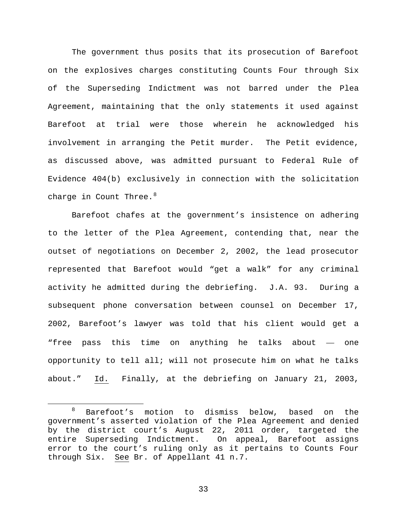The government thus posits that its prosecution of Barefoot on the explosives charges constituting Counts Four through Six of the Superseding Indictment was not barred under the Plea Agreement, maintaining that the only statements it used against Barefoot at trial were those wherein he acknowledged his involvement in arranging the Petit murder. The Petit evidence, as discussed above, was admitted pursuant to Federal Rule of Evidence 404(b) exclusively in connection with the solicitation charge in Count Three. $8$ 

Barefoot chafes at the government's insistence on adhering to the letter of the Plea Agreement, contending that, near the outset of negotiations on December 2, 2002, the lead prosecutor represented that Barefoot would "get a walk" for any criminal activity he admitted during the debriefing. J.A. 93. During a subsequent phone conversation between counsel on December 17, 2002, Barefoot's lawyer was told that his client would get a "free pass this time on anything he talks about — one opportunity to tell all; will not prosecute him on what he talks about." Id. Finally, at the debriefing on January 21, 2003,

<span id="page-32-0"></span> <sup>8</sup> Barefoot's motion to dismiss below, based on the government's asserted violation of the Plea Agreement and denied by the district court's August 22, 2011 order, targeted the entire Superseding Indictment. On appeal, Barefoot assigns error to the court's ruling only as it pertains to Counts Four through Six. See Br. of Appellant 41 n.7.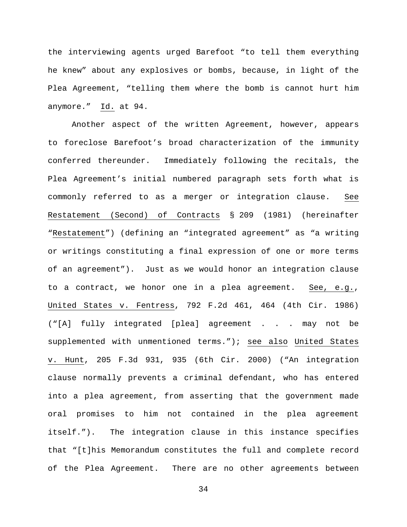the interviewing agents urged Barefoot "to tell them everything he knew" about any explosives or bombs, because, in light of the Plea Agreement, "telling them where the bomb is cannot hurt him anymore." Id. at 94.

Another aspect of the written Agreement, however, appears to foreclose Barefoot's broad characterization of the immunity conferred thereunder. Immediately following the recitals, the Plea Agreement's initial numbered paragraph sets forth what is commonly referred to as a merger or integration clause. See Restatement (Second) of Contracts § 209 (1981) (hereinafter "Restatement") (defining an "integrated agreement" as "a writing or writings constituting a final expression of one or more terms of an agreement"). Just as we would honor an integration clause to a contract, we honor one in a plea agreement. See, e.g., United States v. Fentress, 792 F.2d 461, 464 (4th Cir. 1986) ("[A] fully integrated [plea] agreement . . . may not be supplemented with unmentioned terms."); see also United States v. Hunt, 205 F.3d 931, 935 (6th Cir. 2000) ("An integration clause normally prevents a criminal defendant, who has entered into a plea agreement, from asserting that the government made oral promises to him not contained in the plea agreement itself."). The integration clause in this instance specifies that "[t]his Memorandum constitutes the full and complete record of the Plea Agreement. There are no other agreements between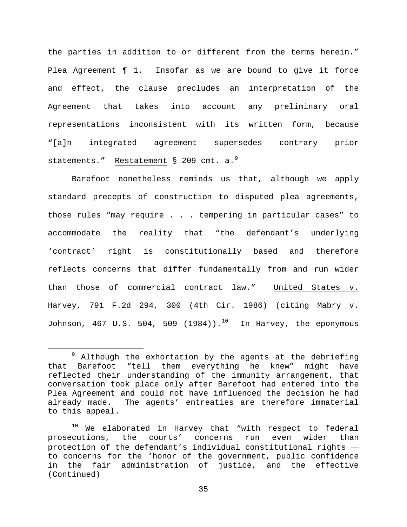the parties in addition to or different from the terms herein." Plea Agreement ¶ 1. Insofar as we are bound to give it force and effect, the clause precludes an interpretation of the Agreement that takes into account any preliminary oral representations inconsistent with its written form, because "[a]n integrated agreement supersedes contrary prior statements." Restatement § 20[9](#page-34-0) cmt. a.<sup>9</sup>

Barefoot nonetheless reminds us that, although we apply standard precepts of construction to disputed plea agreements, those rules "may require . . . tempering in particular cases" to accommodate the reality that "the defendant's underlying 'contract' right is constitutionally based and therefore reflects concerns that differ fundamentally from and run wider than those of commercial contract law." United States v. Harvey, 791 F.2d 294, 300 (4th Cir. 1986) (citing Mabry v. Johnson, 467 U.S. 504, 509  $(1984)$ ).<sup>[10](#page-34-1)</sup> In Harvey, the eponymous

<span id="page-34-0"></span> $9$  Although the exhortation by the agents at the debriefing that Barefoot "tell them everything he knew" might have reflected their understanding of the immunity arrangement, that conversation took place only after Barefoot had entered into the Plea Agreement and could not have influenced the decision he had<br>already made. The agents' entreaties are therefore immaterial The agents' entreaties are therefore immaterial to this appeal.

<span id="page-34-1"></span><sup>&</sup>lt;sup>10</sup> We elaborated in Harvey that "with respect to federal prosecutions, the courts' concerns run even wider than protection of the defendant's individual constitutional rights to concerns for the 'honor of the government, public confidence in the fair administration of justice, and the effective (Continued)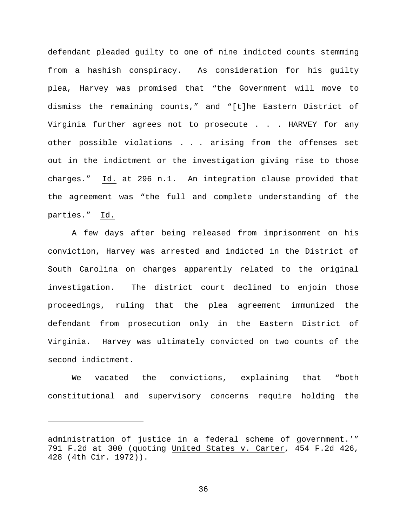defendant pleaded guilty to one of nine indicted counts stemming from a hashish conspiracy. As consideration for his guilty plea, Harvey was promised that "the Government will move to dismiss the remaining counts," and "[t]he Eastern District of Virginia further agrees not to prosecute . . . HARVEY for any other possible violations . . . arising from the offenses set out in the indictment or the investigation giving rise to those charges." Id. at 296 n.1. An integration clause provided that the agreement was "the full and complete understanding of the parties." Id.

A few days after being released from imprisonment on his conviction, Harvey was arrested and indicted in the District of South Carolina on charges apparently related to the original investigation. The district court declined to enjoin those proceedings, ruling that the plea agreement immunized the defendant from prosecution only in the Eastern District of Virginia. Harvey was ultimately convicted on two counts of the second indictment.

We vacated the convictions, explaining that "both constitutional and supervisory concerns require holding the

Ĩ.

administration of justice in a federal scheme of government.'" 791 F.2d at 300 (quoting United States v. Carter, 454 F.2d 426, 428 (4th Cir. 1972)).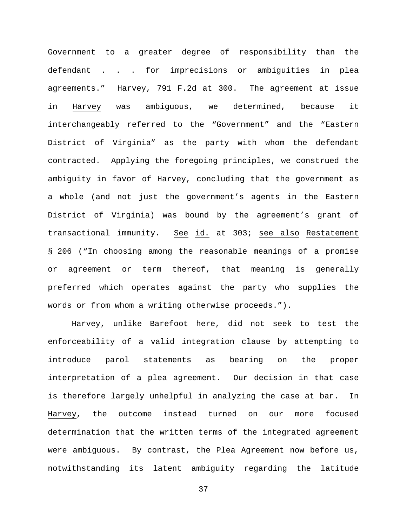Government to a greater degree of responsibility than the defendant . . . for imprecisions or ambiguities in plea agreements." Harvey, 791 F.2d at 300. The agreement at issue in Harvey was ambiguous, we determined, because it interchangeably referred to the "Government" and the "Eastern District of Virginia" as the party with whom the defendant contracted. Applying the foregoing principles, we construed the ambiguity in favor of Harvey, concluding that the government as a whole (and not just the government's agents in the Eastern District of Virginia) was bound by the agreement's grant of transactional immunity. See id. at 303; see also Restatement § 206 ("In choosing among the reasonable meanings of a promise or agreement or term thereof, that meaning is generally preferred which operates against the party who supplies the words or from whom a writing otherwise proceeds.").

Harvey, unlike Barefoot here, did not seek to test the enforceability of a valid integration clause by attempting to introduce parol statements as bearing on the proper interpretation of a plea agreement. Our decision in that case is therefore largely unhelpful in analyzing the case at bar. In Harvey, the outcome instead turned on our more focused determination that the written terms of the integrated agreement were ambiguous. By contrast, the Plea Agreement now before us, notwithstanding its latent ambiguity regarding the latitude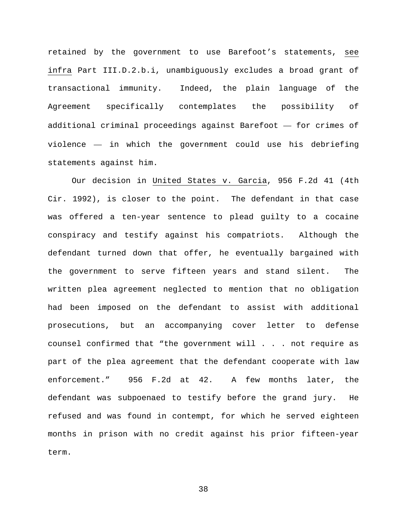retained by the government to use Barefoot's statements, see infra Part III.D.2.b.i, unambiguously excludes a broad grant of transactional immunity. Indeed, the plain language of the Agreement specifically contemplates the possibility of additional criminal proceedings against Barefoot — for crimes of violence — in which the government could use his debriefing statements against him.

Our decision in United States v. Garcia, 956 F.2d 41 (4th Cir. 1992), is closer to the point. The defendant in that case was offered a ten-year sentence to plead guilty to a cocaine conspiracy and testify against his compatriots. Although the defendant turned down that offer, he eventually bargained with the government to serve fifteen years and stand silent. The written plea agreement neglected to mention that no obligation had been imposed on the defendant to assist with additional prosecutions, but an accompanying cover letter to defense counsel confirmed that "the government will . . . not require as part of the plea agreement that the defendant cooperate with law enforcement." 956 F.2d at 42. A few months later, the defendant was subpoenaed to testify before the grand jury. He refused and was found in contempt, for which he served eighteen months in prison with no credit against his prior fifteen-year term.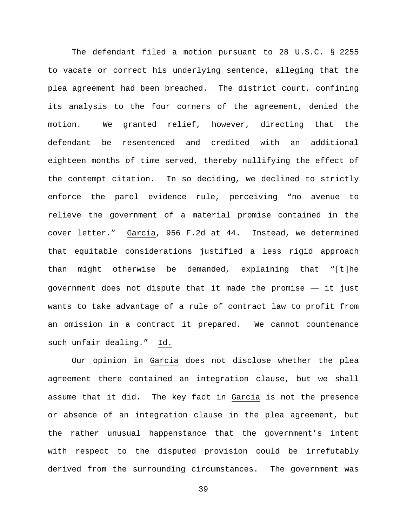The defendant filed a motion pursuant to 28 U.S.C. § 2255 to vacate or correct his underlying sentence, alleging that the plea agreement had been breached. The district court, confining its analysis to the four corners of the agreement, denied the motion. We granted relief, however, directing that the defendant be resentenced and credited with an additional eighteen months of time served, thereby nullifying the effect of the contempt citation. In so deciding, we declined to strictly enforce the parol evidence rule, perceiving "no avenue to relieve the government of a material promise contained in the cover letter." Garcia, 956 F.2d at 44. Instead, we determined that equitable considerations justified a less rigid approach than might otherwise be demanded, explaining that "[t]he government does not dispute that it made the promise — it just wants to take advantage of a rule of contract law to profit from an omission in a contract it prepared. We cannot countenance such unfair dealing." Id.

Our opinion in Garcia does not disclose whether the plea agreement there contained an integration clause, but we shall assume that it did. The key fact in Garcia is not the presence or absence of an integration clause in the plea agreement, but the rather unusual happenstance that the government's intent with respect to the disputed provision could be irrefutably derived from the surrounding circumstances. The government was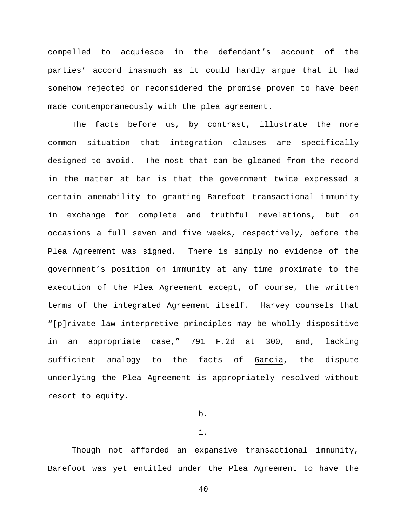compelled to acquiesce in the defendant's account of the parties' accord inasmuch as it could hardly argue that it had somehow rejected or reconsidered the promise proven to have been made contemporaneously with the plea agreement.

The facts before us, by contrast, illustrate the more common situation that integration clauses are specifically designed to avoid. The most that can be gleaned from the record in the matter at bar is that the government twice expressed a certain amenability to granting Barefoot transactional immunity in exchange for complete and truthful revelations, but on occasions a full seven and five weeks, respectively, before the Plea Agreement was signed. There is simply no evidence of the government's position on immunity at any time proximate to the execution of the Plea Agreement except, of course, the written terms of the integrated Agreement itself. Harvey counsels that "[p]rivate law interpretive principles may be wholly dispositive in an appropriate case," 791 F.2d at 300, and, lacking sufficient analogy to the facts of Garcia, the dispute underlying the Plea Agreement is appropriately resolved without resort to equity.

# b.

### i.

Though not afforded an expansive transactional immunity, Barefoot was yet entitled under the Plea Agreement to have the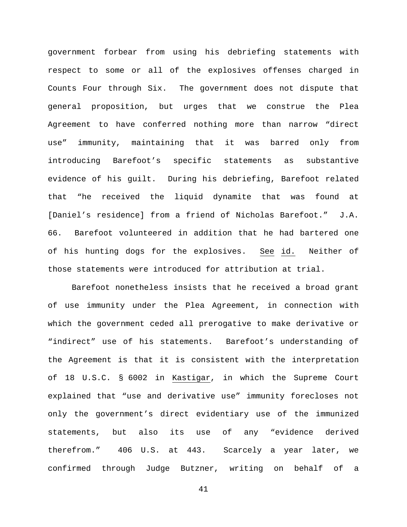government forbear from using his debriefing statements with respect to some or all of the explosives offenses charged in Counts Four through Six. The government does not dispute that general proposition, but urges that we construe the Plea Agreement to have conferred nothing more than narrow "direct use" immunity, maintaining that it was barred only from introducing Barefoot's specific statements as substantive evidence of his guilt. During his debriefing, Barefoot related that "he received the liquid dynamite that was found at [Daniel's residence] from a friend of Nicholas Barefoot." J.A. 66. Barefoot volunteered in addition that he had bartered one of his hunting dogs for the explosives. See id. Neither of those statements were introduced for attribution at trial.

Barefoot nonetheless insists that he received a broad grant of use immunity under the Plea Agreement, in connection with which the government ceded all prerogative to make derivative or "indirect" use of his statements. Barefoot's understanding of the Agreement is that it is consistent with the interpretation of 18 U.S.C. § 6002 in Kastigar, in which the Supreme Court explained that "use and derivative use" immunity forecloses not only the government's direct evidentiary use of the immunized statements, but also its use of any "evidence derived therefrom." 406 U.S. at 443. Scarcely a year later, we confirmed through Judge Butzner, writing on behalf of a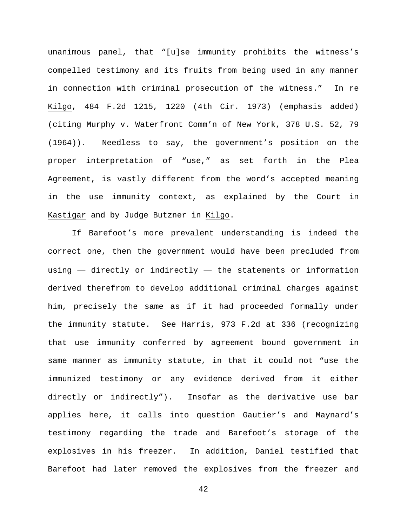unanimous panel, that "[u]se immunity prohibits the witness's compelled testimony and its fruits from being used in any manner in connection with criminal prosecution of the witness." In re Kilgo, 484 F.2d 1215, 1220 (4th Cir. 1973) (emphasis added) (citing Murphy v. Waterfront Comm'n of New York, 378 U.S. 52, 79 (1964)). Needless to say, the government's position on the proper interpretation of "use," as set forth in the Plea Agreement, is vastly different from the word's accepted meaning in the use immunity context, as explained by the Court in Kastigar and by Judge Butzner in Kilgo.

If Barefoot's more prevalent understanding is indeed the correct one, then the government would have been precluded from using  $-$  directly or indirectly  $-$  the statements or information derived therefrom to develop additional criminal charges against him, precisely the same as if it had proceeded formally under the immunity statute. See Harris, 973 F.2d at 336 (recognizing that use immunity conferred by agreement bound government in same manner as immunity statute, in that it could not "use the immunized testimony or any evidence derived from it either directly or indirectly"). Insofar as the derivative use bar applies here, it calls into question Gautier's and Maynard's testimony regarding the trade and Barefoot's storage of the explosives in his freezer. In addition, Daniel testified that Barefoot had later removed the explosives from the freezer and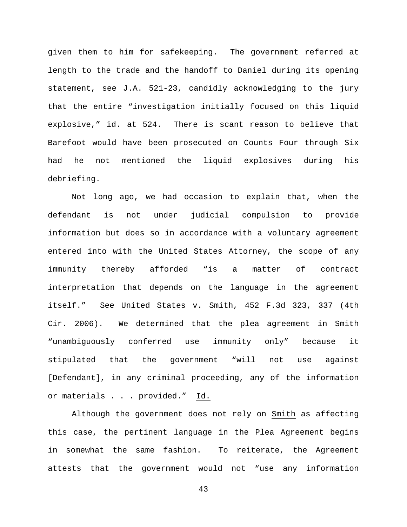given them to him for safekeeping. The government referred at length to the trade and the handoff to Daniel during its opening statement, see J.A. 521-23, candidly acknowledging to the jury that the entire "investigation initially focused on this liquid explosive," id. at 524. There is scant reason to believe that Barefoot would have been prosecuted on Counts Four through Six had he not mentioned the liquid explosives during his debriefing.

Not long ago, we had occasion to explain that, when the defendant is not under judicial compulsion to provide information but does so in accordance with a voluntary agreement entered into with the United States Attorney, the scope of any immunity thereby afforded "is a matter of contract interpretation that depends on the language in the agreement itself." See United States v. Smith, 452 F.3d 323, 337 (4th Cir. 2006). We determined that the plea agreement in Smith "unambiguously conferred use immunity only" because it stipulated that the government "will not use against [Defendant], in any criminal proceeding, any of the information or materials . . . provided." Id.

Although the government does not rely on Smith as affecting this case, the pertinent language in the Plea Agreement begins in somewhat the same fashion. To reiterate, the Agreement attests that the government would not "use any information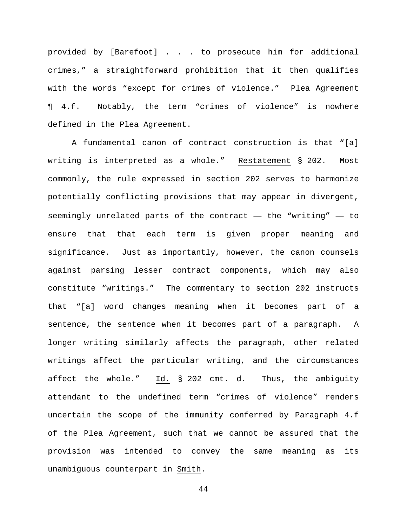provided by [Barefoot] . . . to prosecute him for additional crimes," a straightforward prohibition that it then qualifies with the words "except for crimes of violence." Plea Agreement ¶ 4.f. Notably, the term "crimes of violence" is nowhere defined in the Plea Agreement.

A fundamental canon of contract construction is that "[a] writing is interpreted as a whole." Restatement § 202. Most commonly, the rule expressed in section 202 serves to harmonize potentially conflicting provisions that may appear in divergent, seemingly unrelated parts of the contract — the "writing" — to ensure that that each term is given proper meaning and significance. Just as importantly, however, the canon counsels against parsing lesser contract components, which may also constitute "writings." The commentary to section 202 instructs that "[a] word changes meaning when it becomes part of a sentence, the sentence when it becomes part of a paragraph. A longer writing similarly affects the paragraph, other related writings affect the particular writing, and the circumstances affect the whole." Id. § 202 cmt. d. Thus, the ambiguity attendant to the undefined term "crimes of violence" renders uncertain the scope of the immunity conferred by Paragraph 4.f of the Plea Agreement, such that we cannot be assured that the provision was intended to convey the same meaning as its unambiguous counterpart in Smith.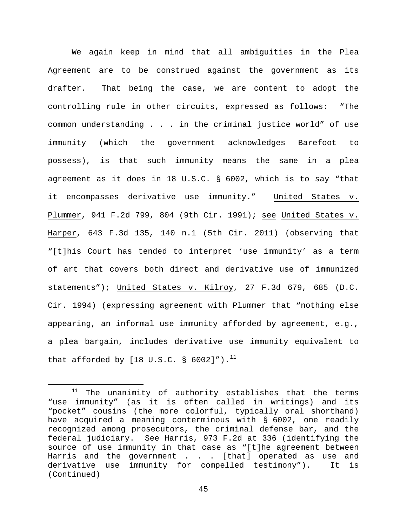We again keep in mind that all ambiguities in the Plea Agreement are to be construed against the government as its drafter. That being the case, we are content to adopt the controlling rule in other circuits, expressed as follows: "The common understanding . . . in the criminal justice world" of use immunity (which the government acknowledges Barefoot to possess), is that such immunity means the same in a plea agreement as it does in 18 U.S.C. § 6002, which is to say "that it encompasses derivative use immunity." United States v. Plummer, 941 F.2d 799, 804 (9th Cir. 1991); see United States v. Harper, 643 F.3d 135, 140 n.1 (5th Cir. 2011) (observing that "[t]his Court has tended to interpret 'use immunity' as a term of art that covers both direct and derivative use of immunized statements"); United States v. Kilroy, 27 F.3d 679, 685 (D.C. Cir. 1994) (expressing agreement with Plummer that "nothing else appearing, an informal use immunity afforded by agreement, e.g., a plea bargain, includes derivative use immunity equivalent to that afforded by  $[18 \text{ U.S.C. } § 6002]$ ").<sup>[11](#page-44-0)</sup>

<span id="page-44-0"></span> $11$  The unanimity of authority establishes that the terms "use immunity" (as it is often called in writings) and its "pocket" cousins (the more colorful, typically oral shorthand) have acquired a meaning conterminous with § 6002, one readily recognized among prosecutors, the criminal defense bar, and the federal judiciary. See Harris, 973 F.2d at 336 (identifying the source of use immunity in that case as "[t]he agreement between Harris and the government . . . [that] operated as use and<br>derivative use immunity for compelled testimony"). It is derivative use immunity for compelled testimony"). (Continued)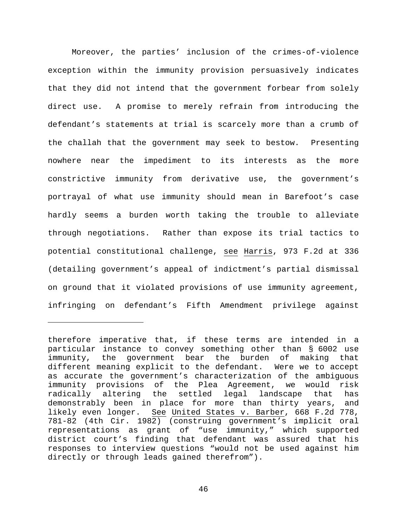Moreover, the parties' inclusion of the crimes-of-violence exception within the immunity provision persuasively indicates that they did not intend that the government forbear from solely direct use. A promise to merely refrain from introducing the defendant's statements at trial is scarcely more than a crumb of the challah that the government may seek to bestow. Presenting nowhere near the impediment to its interests as the more constrictive immunity from derivative use, the government's portrayal of what use immunity should mean in Barefoot's case hardly seems a burden worth taking the trouble to alleviate through negotiations. Rather than expose its trial tactics to potential constitutional challenge, see Harris, 973 F.2d at 336 (detailing government's appeal of indictment's partial dismissal on ground that it violated provisions of use immunity agreement, infringing on defendant's Fifth Amendment privilege against

ī

therefore imperative that, if these terms are intended in a particular instance to convey something other than § 6002 use the government bear the burden of making that different meaning explicit to the defendant. Were we to accept as accurate the government's characterization of the ambiguous immunity provisions of the Plea Agreement, we would risk radically altering the settled legal landscape that has demonstrably been in place for more than thirty years, and likely even longer. See United States v. Barber, 668 F.2d 778, 781-82 (4th Cir. 1982) (construing government's implicit oral representations as grant of "use immunity," which supported district court's finding that defendant was assured that his responses to interview questions "would not be used against him directly or through leads gained therefrom").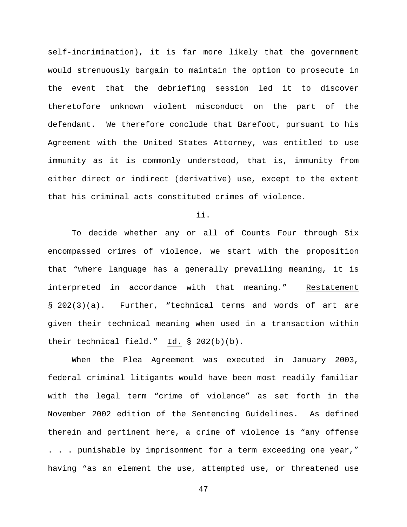self-incrimination), it is far more likely that the government would strenuously bargain to maintain the option to prosecute in the event that the debriefing session led it to discover theretofore unknown violent misconduct on the part of the defendant. We therefore conclude that Barefoot, pursuant to his Agreement with the United States Attorney, was entitled to use immunity as it is commonly understood, that is, immunity from either direct or indirect (derivative) use, except to the extent that his criminal acts constituted crimes of violence.

ii.

To decide whether any or all of Counts Four through Six encompassed crimes of violence, we start with the proposition that "where language has a generally prevailing meaning, it is interpreted in accordance with that meaning." Restatement § 202(3)(a). Further, "technical terms and words of art are given their technical meaning when used in a transaction within their technical field." Id. § 202(b)(b).

When the Plea Agreement was executed in January 2003, federal criminal litigants would have been most readily familiar with the legal term "crime of violence" as set forth in the November 2002 edition of the Sentencing Guidelines. As defined therein and pertinent here, a crime of violence is "any offense . . . punishable by imprisonment for a term exceeding one year," having "as an element the use, attempted use, or threatened use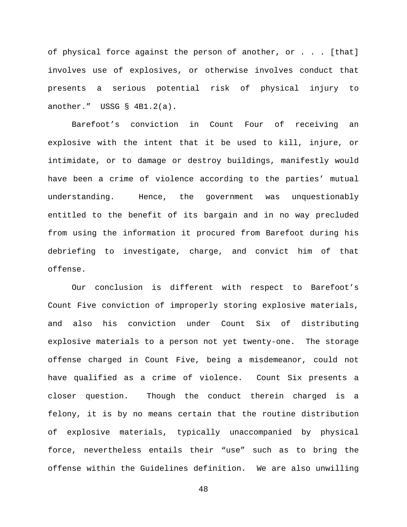of physical force against the person of another, or . . . [that] involves use of explosives, or otherwise involves conduct that presents a serious potential risk of physical injury to another." USSG § 4B1.2(a).

Barefoot's conviction in Count Four of receiving an explosive with the intent that it be used to kill, injure, or intimidate, or to damage or destroy buildings, manifestly would have been a crime of violence according to the parties' mutual understanding. Hence, the government was unquestionably entitled to the benefit of its bargain and in no way precluded from using the information it procured from Barefoot during his debriefing to investigate, charge, and convict him of that offense.

Our conclusion is different with respect to Barefoot's Count Five conviction of improperly storing explosive materials, and also his conviction under Count Six of distributing explosive materials to a person not yet twenty-one. The storage offense charged in Count Five, being a misdemeanor, could not have qualified as a crime of violence. Count Six presents a closer question. Though the conduct therein charged is a felony, it is by no means certain that the routine distribution of explosive materials, typically unaccompanied by physical force, nevertheless entails their "use" such as to bring the offense within the Guidelines definition. We are also unwilling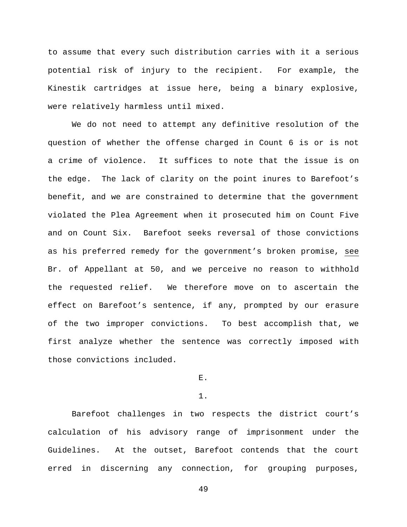to assume that every such distribution carries with it a serious potential risk of injury to the recipient. For example, the Kinestik cartridges at issue here, being a binary explosive, were relatively harmless until mixed.

We do not need to attempt any definitive resolution of the question of whether the offense charged in Count 6 is or is not a crime of violence. It suffices to note that the issue is on the edge. The lack of clarity on the point inures to Barefoot's benefit, and we are constrained to determine that the government violated the Plea Agreement when it prosecuted him on Count Five and on Count Six. Barefoot seeks reversal of those convictions as his preferred remedy for the government's broken promise, see Br. of Appellant at 50, and we perceive no reason to withhold the requested relief. We therefore move on to ascertain the effect on Barefoot's sentence, if any, prompted by our erasure of the two improper convictions. To best accomplish that, we first analyze whether the sentence was correctly imposed with those convictions included.

E.

1.

Barefoot challenges in two respects the district court's calculation of his advisory range of imprisonment under the Guidelines. At the outset, Barefoot contends that the court erred in discerning any connection, for grouping purposes,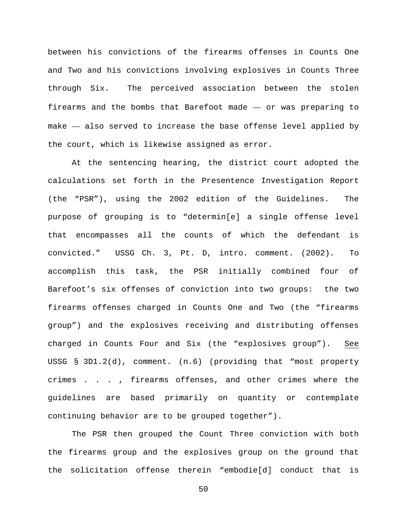between his convictions of the firearms offenses in Counts One and Two and his convictions involving explosives in Counts Three through Six. The perceived association between the stolen firearms and the bombs that Barefoot made — or was preparing to make — also served to increase the base offense level applied by the court, which is likewise assigned as error.

At the sentencing hearing, the district court adopted the calculations set forth in the Presentence Investigation Report (the "PSR"), using the 2002 edition of the Guidelines. The purpose of grouping is to "determin[e] a single offense level that encompasses all the counts of which the defendant is convicted." USSG Ch. 3, Pt. D, intro. comment. (2002). To accomplish this task, the PSR initially combined four of Barefoot's six offenses of conviction into two groups: the two firearms offenses charged in Counts One and Two (the "firearms group") and the explosives receiving and distributing offenses charged in Counts Four and Six (the "explosives group"). See USSG § 3D1.2(d), comment. (n.6) (providing that "most property crimes . . . , firearms offenses, and other crimes where the guidelines are based primarily on quantity or contemplate continuing behavior are to be grouped together").

The PSR then grouped the Count Three conviction with both the firearms group and the explosives group on the ground that the solicitation offense therein "embodie[d] conduct that is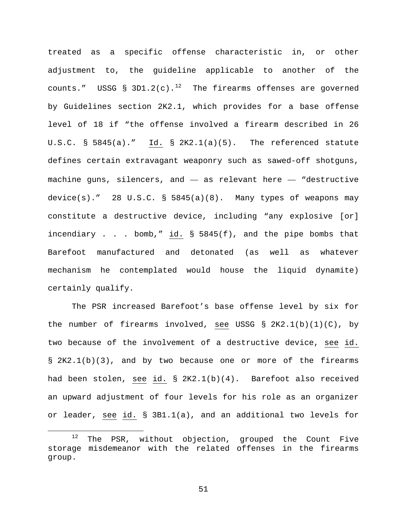treated as a specific offense characteristic in, or other adjustment to, the guideline applicable to another of the counts." USSG § 3D1.2(c).<sup>[12](#page-50-0)</sup> The firearms offenses are governed by Guidelines section 2K2.1, which provides for a base offense level of 18 if "the offense involved a firearm described in 26 U.S.C. § 5845(a)." Id. § 2K2.1(a)(5). The referenced statute defines certain extravagant weaponry such as sawed-off shotguns, machine guns, silencers, and — as relevant here — "destructive device(s)." 28 U.S.C. § 5845(a)(8). Many types of weapons may constitute a destructive device, including "any explosive [or] incendiary . . . bomb," id.  $\S$  5845(f), and the pipe bombs that Barefoot manufactured and detonated (as well as whatever mechanism he contemplated would house the liquid dynamite) certainly qualify.

The PSR increased Barefoot's base offense level by six for the number of firearms involved, see USSG § 2K2.1(b)(1)(C), by two because of the involvement of a destructive device, see id. § 2K2.1(b)(3), and by two because one or more of the firearms had been stolen, see id. § 2K2.1(b)(4). Barefoot also received an upward adjustment of four levels for his role as an organizer or leader, see id. § 3B1.1(a), and an additional two levels for

<span id="page-50-0"></span><sup>&</sup>lt;sup>12</sup> The PSR, without objection, grouped the Count Five storage misdemeanor with the related offenses in the firearms group.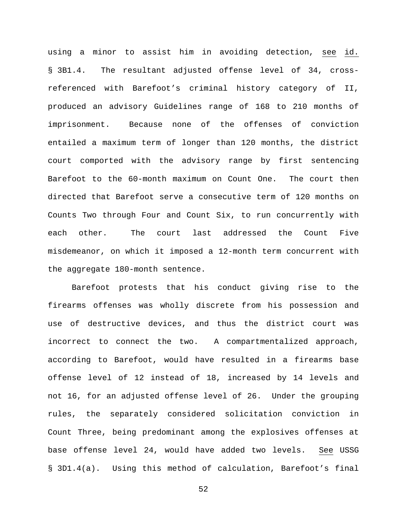using a minor to assist him in avoiding detection, see id. § 3B1.4. The resultant adjusted offense level of 34, crossreferenced with Barefoot's criminal history category of II, produced an advisory Guidelines range of 168 to 210 months of imprisonment. Because none of the offenses of conviction entailed a maximum term of longer than 120 months, the district court comported with the advisory range by first sentencing Barefoot to the 60-month maximum on Count One. The court then directed that Barefoot serve a consecutive term of 120 months on Counts Two through Four and Count Six, to run concurrently with each other. The court last addressed the Count Five misdemeanor, on which it imposed a 12-month term concurrent with the aggregate 180-month sentence.

Barefoot protests that his conduct giving rise to the firearms offenses was wholly discrete from his possession and use of destructive devices, and thus the district court was incorrect to connect the two. A compartmentalized approach, according to Barefoot, would have resulted in a firearms base offense level of 12 instead of 18, increased by 14 levels and not 16, for an adjusted offense level of 26. Under the grouping rules, the separately considered solicitation conviction in Count Three, being predominant among the explosives offenses at base offense level 24, would have added two levels. See USSG § 3D1.4(a). Using this method of calculation, Barefoot's final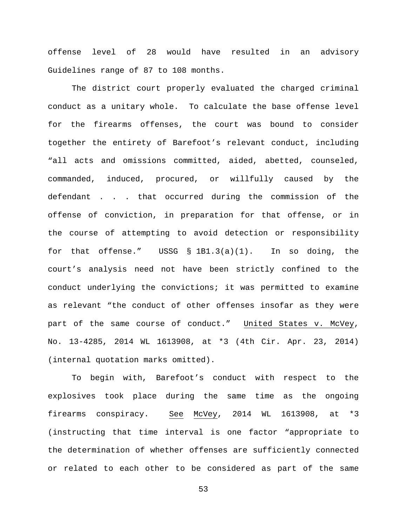offense level of 28 would have resulted in an advisory Guidelines range of 87 to 108 months.

The district court properly evaluated the charged criminal conduct as a unitary whole. To calculate the base offense level for the firearms offenses, the court was bound to consider together the entirety of Barefoot's relevant conduct, including "all acts and omissions committed, aided, abetted, counseled, commanded, induced, procured, or willfully caused by the defendant . . . that occurred during the commission of the offense of conviction, in preparation for that offense, or in the course of attempting to avoid detection or responsibility for that offense." USSG § 1B1.3(a)(1). In so doing, the court's analysis need not have been strictly confined to the conduct underlying the convictions; it was permitted to examine as relevant "the conduct of other offenses insofar as they were part of the same course of conduct." United States v. McVey, No. 13-4285, 2014 WL 1613908, at \*3 (4th Cir. Apr. 23, 2014) (internal quotation marks omitted).

To begin with, Barefoot's conduct with respect to the explosives took place during the same time as the ongoing firearms conspiracy. See McVey, 2014 WL 1613908, at \*3 (instructing that time interval is one factor "appropriate to the determination of whether offenses are sufficiently connected or related to each other to be considered as part of the same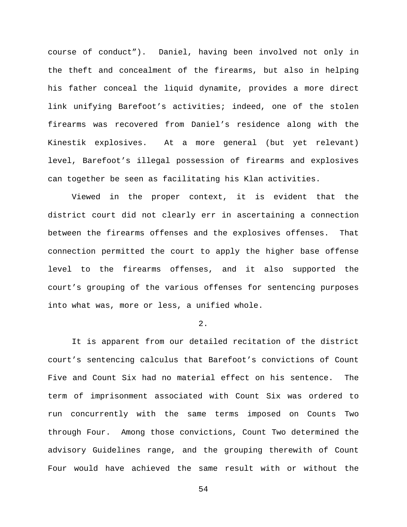course of conduct"). Daniel, having been involved not only in the theft and concealment of the firearms, but also in helping his father conceal the liquid dynamite, provides a more direct link unifying Barefoot's activities; indeed, one of the stolen firearms was recovered from Daniel's residence along with the Kinestik explosives. At a more general (but yet relevant) level, Barefoot's illegal possession of firearms and explosives can together be seen as facilitating his Klan activities.

Viewed in the proper context, it is evident that the district court did not clearly err in ascertaining a connection between the firearms offenses and the explosives offenses. That connection permitted the court to apply the higher base offense level to the firearms offenses, and it also supported the court's grouping of the various offenses for sentencing purposes into what was, more or less, a unified whole.

## 2.

It is apparent from our detailed recitation of the district court's sentencing calculus that Barefoot's convictions of Count Five and Count Six had no material effect on his sentence. The term of imprisonment associated with Count Six was ordered to run concurrently with the same terms imposed on Counts Two through Four. Among those convictions, Count Two determined the advisory Guidelines range, and the grouping therewith of Count Four would have achieved the same result with or without the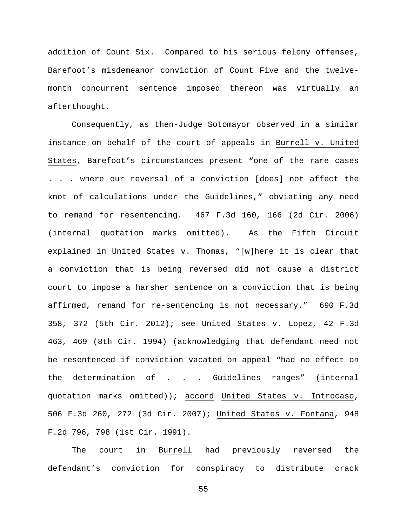addition of Count Six. Compared to his serious felony offenses, Barefoot's misdemeanor conviction of Count Five and the twelvemonth concurrent sentence imposed thereon was virtually an afterthought.

Consequently, as then-Judge Sotomayor observed in a similar instance on behalf of the court of appeals in Burrell v. United States, Barefoot's circumstances present "one of the rare cases . . . where our reversal of a conviction [does] not affect the knot of calculations under the Guidelines," obviating any need to remand for resentencing. 467 F.3d 160, 166 (2d Cir. 2006) (internal quotation marks omitted). As the Fifth Circuit explained in United States v. Thomas, "[w]here it is clear that a conviction that is being reversed did not cause a district court to impose a harsher sentence on a conviction that is being affirmed, remand for re-sentencing is not necessary." 690 F.3d 358, 372 (5th Cir. 2012); see United States v. Lopez, 42 F.3d 463, 469 (8th Cir. 1994) (acknowledging that defendant need not be resentenced if conviction vacated on appeal "had no effect on the determination of . . . Guidelines ranges" (internal quotation marks omitted)); accord United States v. Introcaso, 506 F.3d 260, 272 (3d Cir. 2007); United States v. Fontana, 948 F.2d 796, 798 (1st Cir. 1991).

The court in Burrell had previously reversed the defendant's conviction for conspiracy to distribute crack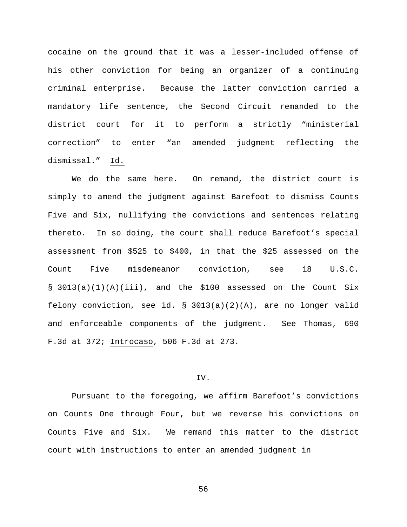cocaine on the ground that it was a lesser-included offense of his other conviction for being an organizer of a continuing criminal enterprise. Because the latter conviction carried a mandatory life sentence, the Second Circuit remanded to the district court for it to perform a strictly "ministerial correction" to enter "an amended judgment reflecting the dismissal." Id.

We do the same here. On remand, the district court is simply to amend the judgment against Barefoot to dismiss Counts Five and Six, nullifying the convictions and sentences relating thereto. In so doing, the court shall reduce Barefoot's special assessment from \$525 to \$400, in that the \$25 assessed on the Count Five misdemeanor conviction, see 18 U.S.C. § 3013(a)(1)(A)(iii), and the \$100 assessed on the Count Six felony conviction, see id. § 3013(a)(2)(A), are no longer valid and enforceable components of the judgment. See Thomas, 690 F.3d at 372; Introcaso, 506 F.3d at 273.

### IV.

Pursuant to the foregoing, we affirm Barefoot's convictions on Counts One through Four, but we reverse his convictions on Counts Five and Six. We remand this matter to the district court with instructions to enter an amended judgment in